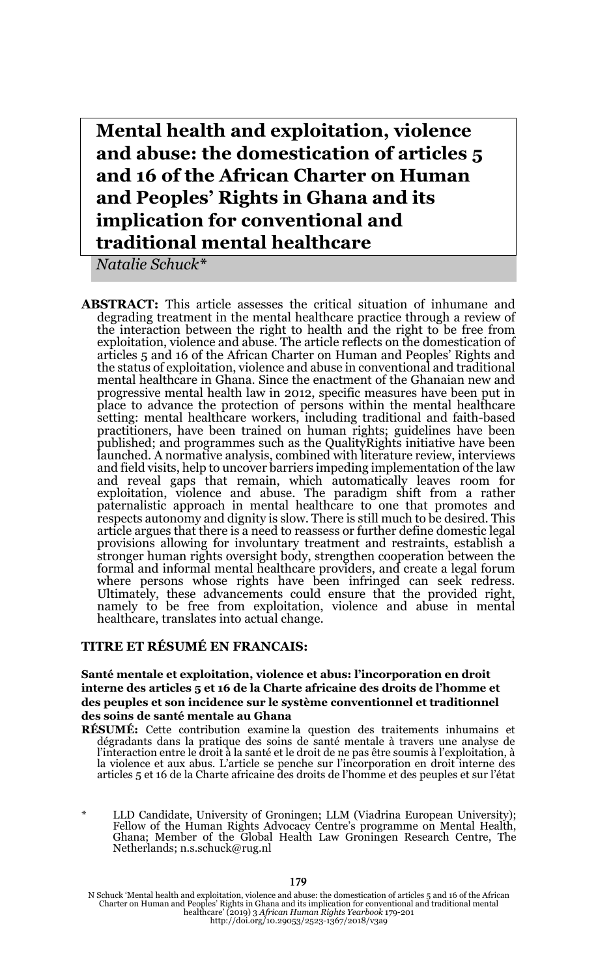**Mental health and exploitation, violence and abuse: the domestication of articles 5 and 16 of the African Charter on Human and Peoples' Rights in Ghana and its implication for conventional and traditional mental healthcare**

*Natalie Schuck\**

**ABSTRACT:** This article assesses the critical situation of inhumane and degrading treatment in the mental healthcare practice through a review of the interaction between the right to health and the right to be free from exploitation, violence and abuse. The article reflects on the domestication of articles 5 and 16 of the African Charter on Human and Peoples' Rights and the status of exploitation, violence and abuse in conventional and traditional mental healthcare in Ghana. Since the enactment of the Ghanaian new and progressive mental health law in 2012, specific measures have been put in place to advance the protection of persons within the mental healthcare setting: mental healthcare workers, including traditional and faith-based practitioners, have been trained on human rights; guidelines have been published; and programmes such as the QualityRights initiative have been launched. A normative analysis, combined with literature review, interviews and field visits, help to uncover barriers impeding implementation of the law and reveal gaps that remain, which automatically leaves room for exploitation, violence and abuse. The paradigm shift from a rather paternalistic approach in mental healthcare to one that promotes and respects autonomy and dignity is slow. There is still much to be desired. This article argues that there is a need to reassess or further define domestic legal provisions allowing for involuntary treatment and restraints, establish a stronger human rights oversight body, strengthen cooperation between the formal and informal mental healthcare providers, and create a legal forum where persons whose rights have been infringed can seek redress. Ultimately, these advancements could ensure that the provided right, namely to be free from exploitation, violence and abuse in mental healthcare, translates into actual change.

#### **TITRE ET RÉSUMÉ EN FRANCAIS:**

#### **Santé mentale et exploitation, violence et abus: l'incorporation en droit interne des articles 5 et 16 de la Charte africaine des droits de l'homme et des peuples et son incidence sur le système conventionnel et traditionnel des soins de santé mentale au Ghana**

**RÉSUMÉ:** Cette contribution examine la question des traitements inhumains et dégradants dans la pratique des soins de santé mentale à travers une analyse de<br>l'interaction entre le droit à la santé et le droit de ne pas être soumis à l'exploitation, à la violence et aux abus. L'article se penche sur l'incorporation en droit interne des articles 5 et 16 de la Charte africaine des droits de l'homme et des peuples et sur l'état

LLD Candidate, University of Groningen; LLM (Viadrina European University); Fellow of the Human Rights Advocacy Centre's programme on Mental Health, Ghana; Member of the Global Health Law Groningen Research Centre, The Netherlands; n.s.schuck@rug.nl

N Schuck 'Mental health and exploitation, violence and abuse: the domestication of articles 5 and 16 of the African<br>Charter on Human and Peoples' Rights in Ghana and its implication for conventional and traditional mental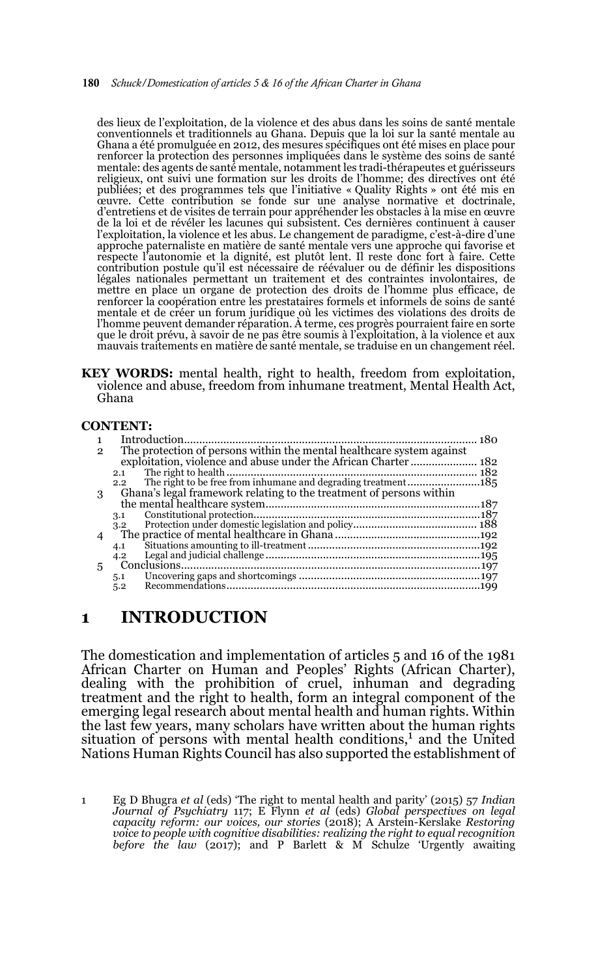#### 180 *Schuck/Domestication of articles 5 & 16 of the African Charter in Ghana*

des lieux de l'exploitation, de la violence et des abus dans les soins de santé mentale conventionnels et traditionnels au Ghana. Depuis que la loi sur la santé mentale au Ghana a été promulguée en 2012, des mesures spécifiques ont été mises en place pour renforcer la protection des personnes impliquées dans le système des soins de santé mentale: des agents de santé mentale, notamment les tradi-thérapeutes et guérisseurs religieux, ont suivi une formation sur les droits de l'homme; des directives ont été publiées; et des programmes tels que l'initiative « Quality Rights » ont été mis en œuvre. Cette contribution se fonde sur une analyse normative et doctrinale, d'entretiens et de visites de terrain pour appréhender les obstacles à la mise en œuvre de la loi et de révéler les lacunes qui subsistent. Ces dernières continuent à causer l'exploitation, la violence et les abus. Le changement de paradigme, c'est-à-dire d'une approche paternaliste en matière de santé mentale vers une approche qui favorise et respecte l'autonomie et la dignité, est plutôt lent. Il reste donc fort à faire. Cette contribution postule qu'il est nécessaire de réévaluer ou de définir les dispositions légales nationales permettant un traitement et des contraintes involontaires, de mettre en place un organe de protection des droits de l'homme plus efficace, de renforcer la coopération entre les prestataires formels et informels de soins de santé mentale et de créer un forum juridique où les victimes des violations des droits de l'homme peuvent demander réparation. À terme, ces progrès pourraient faire en sorte que le droit prévu, à savoir de ne pas être soumis à l'exploitation, à la violence et aux mauvais traitements en matière de santé mentale, se traduise en un changement réel.

**KEY WORDS:** mental health, right to health, freedom from exploitation, violence and abuse, freedom from inhumane treatment, Mental Health Act, Ghana

#### **CONTENT:**

| 2 | The protection of persons within the mental healthcare system against |  |
|---|-----------------------------------------------------------------------|--|
|   |                                                                       |  |
|   | 2.1                                                                   |  |
|   | $2.2^{\circ}$                                                         |  |
| З | Ghana's legal framework relating to the treatment of persons within   |  |
|   |                                                                       |  |
|   | 3.1                                                                   |  |
|   | 3.2                                                                   |  |
|   |                                                                       |  |
|   | 4.1                                                                   |  |
|   | 4.2                                                                   |  |
| 5 |                                                                       |  |
|   | 5.1                                                                   |  |
|   | 5.2                                                                   |  |
|   |                                                                       |  |

## **1 INTRODUCTION**

The domestication and implementation of articles 5 and 16 of the 1981 African Charter on Human and Peoples' Rights (African Charter), dealing with the prohibition of cruel, inhuman and degrading treatment and the right to health, form an integral component of the emerging legal research about mental health and human rights. Within the last few years, many scholars have written about the human rights situation of persons with mental health conditions,<sup>1</sup> and the United Nations Human Rights Council has also supported the establishment of

<sup>1</sup> Eg D Bhugra *et al* (eds) 'The right to mental health and parity' (2015) 57 *Indian Journal of Psychiatry* 117; E Flynn *et al* (eds) *Global perspectives on legal capacity reform: our voices, our stories* (2018); A Arstein-Kerslake *Restoring voice to people with cognitive disabilities: realizing the right to equal recognition before the law* (2017); and P Barlett & M Schulze 'Urgently awaiting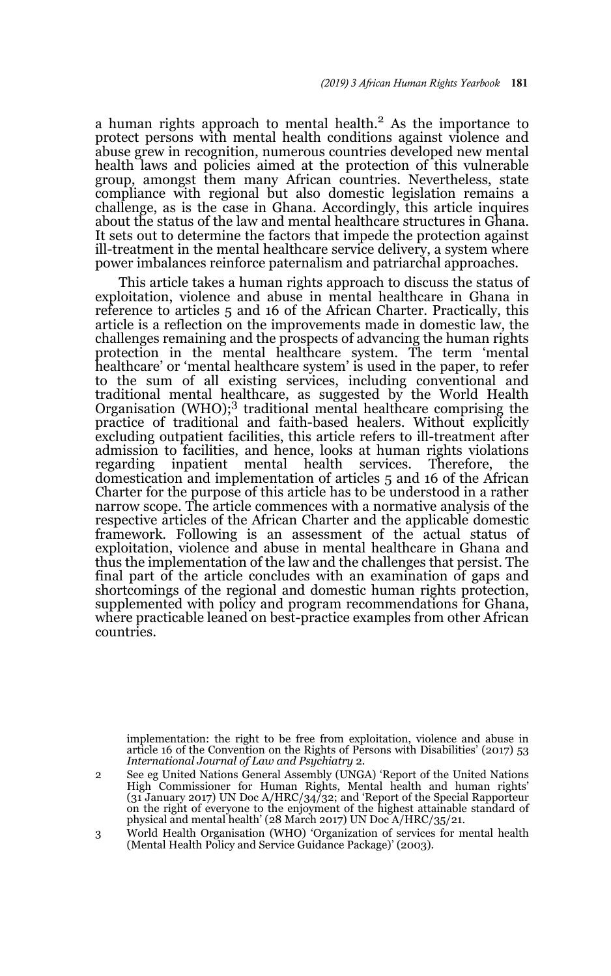a human rights approach to mental health.2 As the importance to protect persons with mental health conditions against violence and abuse grew in recognition, numerous countries developed new mental health laws and policies aimed at the protection of this vulnerable group, amongst them many African countries. Nevertheless, state compliance with regional but also domestic legislation remains a challenge, as is the case in Ghana. Accordingly, this article inquires about the status of the law and mental healthcare structures in Ghana. It sets out to determine the factors that impede the protection against ill-treatment in the mental healthcare service delivery, a system where power imbalances reinforce paternalism and patriarchal approaches.

This article takes a human rights approach to discuss the status of exploitation, violence and abuse in mental healthcare in Ghana in reference to articles 5 and 16 of the African Charter. Practically, this article is a reflection on the improvements made in domestic law, the challenges remaining and the prospects of advancing the human rights protection in the mental healthcare system. The term 'mental healthcare' or 'mental healthcare system' is used in the paper, to refer to the sum of all existing services, including conventional and traditional mental healthcare, as suggested by the World Health Organisation (WHO);3 traditional mental healthcare comprising the practice of traditional and faith-based healers. Without explicitly excluding outpatient facilities, this article refers to ill-treatment after admission to facilities, and hence, looks at human rights violations regarding inpatient mental health services. Therefore, the domestication and implementation of articles 5 and 16 of the African Charter for the purpose of this article has to be understood in a rather narrow scope. The article commences with a normative analysis of the respective articles of the African Charter and the applicable domestic framework. Following is an assessment of the actual status of exploitation, violence and abuse in mental healthcare in Ghana and thus the implementation of the law and the challenges that persist. The final part of the article concludes with an examination of gaps and shortcomings of the regional and domestic human rights protection, supplemented with policy and program recommendations for Ghana, where practicable leaned on best-practice examples from other African countries.

2 implementation: the right to be free from exploitation, violence and abuse in article 16 of the Convention on the Rights of Persons with Disabilities' (2017) 53 *International Journal of Law and Psychiatry* 2.

<sup>2</sup> See eg United Nations General Assembly (UNGA) 'Report of the United Nations High Commissioner for Human Rights, Mental health and human rights' (31 January 2017) UN Doc A/HRC/34/32; and 'Report of the Special Rapporteur on the right of everyone to the enjoyment of the highest attainable standard of physical and mental health' (28 March 2017) UN Doc A/HRC/35/21.

<sup>3</sup> World Health Organisation (WHO) 'Organization of services for mental health (Mental Health Policy and Service Guidance Package)' (2003).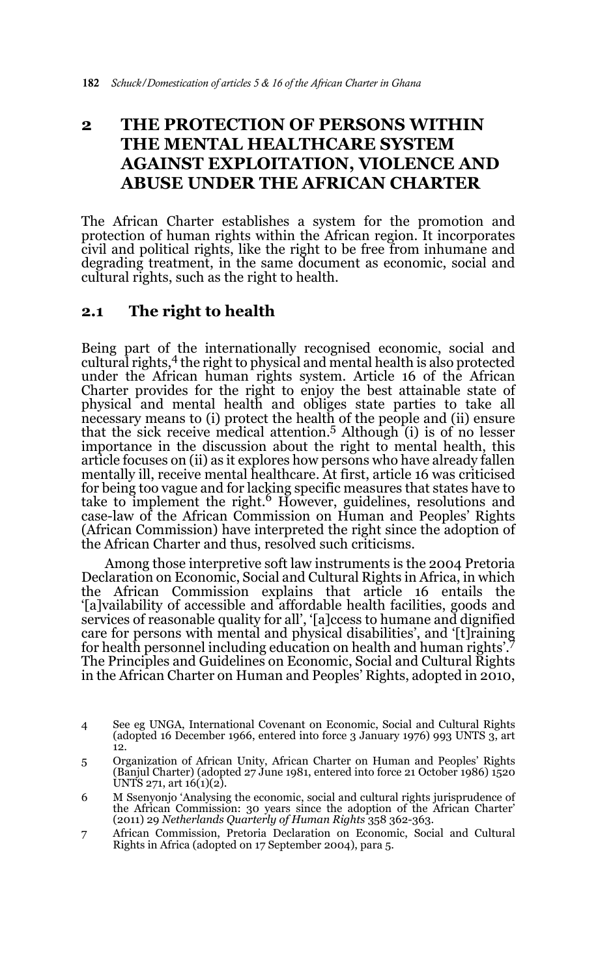# **2 THE PROTECTION OF PERSONS WITHIN THE MENTAL HEALTHCARE SYSTEM AGAINST EXPLOITATION, VIOLENCE AND ABUSE UNDER THE AFRICAN CHARTER**

The African Charter establishes a system for the promotion and protection of human rights within the African region. It incorporates civil and political rights, like the right to be free from inhumane and degrading treatment, in the same document as economic, social and cultural rights, such as the right to health.

## **2.1 The right to health**

Being part of the internationally recognised economic, social and cultural rights,4 the right to physical and mental health is also protected under the African human rights system. Article 16 of the African Charter provides for the right to enjoy the best attainable state of physical and mental health and obliges state parties to take all necessary means to (i) protect the health of the people and (ii) ensure that the sick receive medical attention.<sup>5</sup> Although  $(i)$  is of no lesser importance in the discussion about the right to mental health, this article focuses on (ii) as it explores how persons who have already fallen mentally ill, receive mental healthcare. At first, article 16 was criticised for being too vague and for lacking specific measures that states have to<br>take to implement the right.<sup>6</sup> However, guidelines, resolutions and case-law of the African Commission on Human and Peoples' Rights (African Commission) have interpreted the right since the adoption of the African Charter and thus, resolved such criticisms.

Among those interpretive soft law instruments is the 2004 Pretoria Declaration on Economic, Social and Cultural Rights in Africa, in which the African Commission explains that article 16 entails the '[a]vailability of accessible and affordable health facilities, goods and services of reasonable quality for all', '[a]ccess to humane and dignified care for persons with mental and physical disabilities', and '[t]raining for health personnel including education on health and human rights'.7 The Principles and Guidelines on Economic, Social and Cultural Rights in the African Charter on Human and Peoples' Rights, adopted in 2010,

<sup>4</sup> See eg UNGA, International Covenant on Economic, Social and Cultural Rights (adopted 16 December 1966, entered into force 3 January 1976) 993 UNTS 3, art 12.

<sup>5</sup> Organization of African Unity, African Charter on Human and Peoples' Rights (Banjul Charter) (adopted  $27 \text{ June } 1981$ , entered into force 21 October 1986) 1520 UNTS 271, art 16(1)(2).

<sup>6</sup> M Ssenyonjo 'Analysing the economic, social and cultural rights jurisprudence of the African Commission: 30 years since the adoption of the African Charter' (2011) 29 *Netherlands Quarterly of Human Rights* 358 362-363.

<sup>7</sup> African Commission, Pretoria Declaration on Economic, Social and Cultural Rights in Africa (adopted on 17 September 2004), para 5.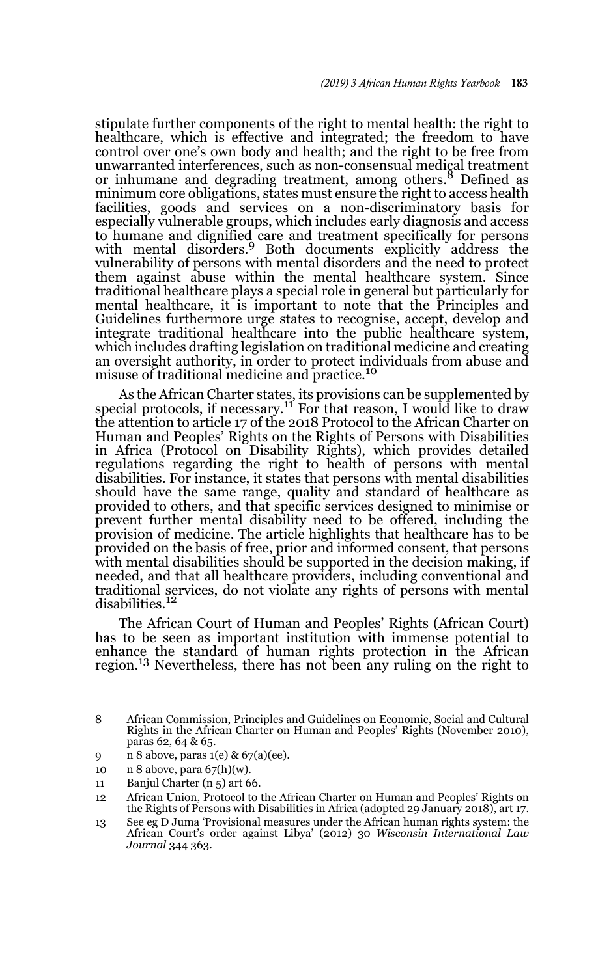stipulate further components of the right to mental health: the right to healthcare, which is effective and integrated; the freedom to have control over one's own body and health; and the right to be free from unwarranted interferences, such as non-consensual medical treatment or inhumane and degrading treatment, among others.<sup>8</sup> Defined as minimum core obligations, states must ensure the right to access health facilities, goods and services on a non-discriminatory basis for especially vulnerable groups, which includes early diagnosis and access to humane and dignified care and treatment specifically for persons with mental disorders.<sup>9</sup> Both documents explicitly address the vulnerability of persons with mental disorders and the need to protect them against abuse within the mental healthcare system. Since traditional healthcare plays a special role in general but particularly for mental healthcare, it is important to note that the Principles and Guidelines furthermore urge states to recognise, accept, develop and integrate traditional healthcare into the public healthcare system, which includes drafting legislation on traditional medicine and creating an oversight authority, in order to protect individuals from abuse and misuse of traditional medicine and practice.<sup>10</sup>

As the African Charter states, its provisions can be supplemented by special protocols, if necessary.<sup>11</sup> For that reason, I would like to draw the attention to article 17 of the 2018 Protocol to the African Charter on Human and Peoples' Rights on the Rights of Persons with Disabilities in Africa (Protocol on Disability Rights), which provides detailed regulations regarding the right to health of persons with mental disabilities. For instance, it states that persons with mental disabilities should have the same range, quality and standard of healthcare as provided to others, and that specific services designed to minimise or prevent further mental disability need to be offered, including the provision of medicine. The article highlights that healthcare has to be provided on the basis of free, prior and informed consent, that persons with mental disabilities should be supported in the decision making, if needed, and that all healthcare providers, including conventional and traditional services, do not violate any rights of persons with mental disabilities.<sup>12</sup>

The African Court of Human and Peoples' Rights (African Court) has to be seen as important institution with immense potential to enhance the standard of human rights protection in the African region.13 Nevertheless, there has not been any ruling on the right to

- 9 n 8 above, paras 1(e) & 67(a)(ee).
- 10  $n \cdot 8$  above, para  $67(h)(w)$ .
- 11 Banjul Charter (n 5) art 66.

<sup>8</sup> African Commission, Principles and Guidelines on Economic, Social and Cultural Rights in the African Charter on Human and Peoples' Rights (November 2010), paras 62, 64 & 65.

<sup>12</sup> African Union, Protocol to the African Charter on Human and Peoples' Rights on the Rights of Persons with Disabilities in Africa (adopted 29 January 2018), art 17.

<sup>13</sup> See eg D Juma 'Provisional measures under the African human rights system: the African Court's order against Libya' (2012) 30 *Wisconsin International Law Journal* 344 363.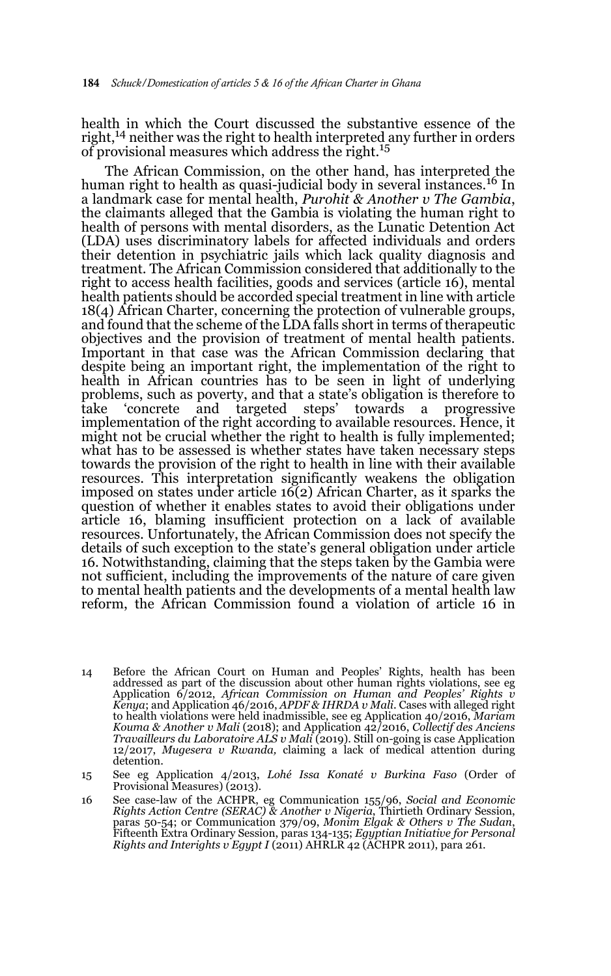health in which the Court discussed the substantive essence of the right,<sup>14</sup> neither was the right to health interpreted any further in orders of provisional measures which address the right.<sup>15</sup>

The African Commission, on the other hand, has interpreted the human right to health as quasi-judicial body in several instances.<sup>16</sup> In a landmark case for mental health, *Purohit & Another v The Gambia*, the claimants alleged that the Gambia is violating the human right to health of persons with mental disorders, as the Lunatic Detention Act (LDA) uses discriminatory labels for affected individuals and orders their detention in psychiatric jails which lack quality diagnosis and treatment. The African Commission considered that additionally to the right to access health facilities, goods and services (article 16), mental health patients should be accorded special treatment in line with article 18(4) African Charter, concerning the protection of vulnerable groups, and found that the scheme of the LDA falls short in terms of therapeutic objectives and the provision of treatment of mental health patients. Important in that case was the African Commission declaring that despite being an important right, the implementation of the right to health in African countries has to be seen in light of underlying problems, such as poverty, and that a state's obligation is therefore to take 'concrete and targeted steps' towards a progressive implementation of the right according to available resources. Hence, it might not be crucial whether the right to health is fully implemented; what has to be assessed is whether states have taken necessary steps towards the provision of the right to health in line with their available resources. This interpretation significantly weakens the obligation imposed on states under article 16(2) African Charter, as it sparks the question of whether it enables states to avoid their obligations under article 16, blaming insufficient protection on a lack of available resources. Unfortunately, the African Commission does not specify the details of such exception to the state's general obligation under article 16. Notwithstanding, claiming that the steps taken by the Gambia were not sufficient, including the improvements of the nature of care given to mental health patients and the developments of a mental health law reform, the African Commission found a violation of article 16 in

- 14 Before the African Court on Human and Peoples' Rights, health has been addressed as part of the discussion about other human rights violations, see eg Application 6/2012, *African Commission on Human and Peoples' Rights v Kenya*; and Application 46/2016, *APDF & IHRDA v Mali*. Cases with alleged right to health violations were held inadmissible, see eg Application 40/2016, *Mariam Kouma & Another v Mali* (2018); and Application 42/2016, *Collectif des Anciens Travailleurs du Laboratoire ALS v Mali* (2019). Still on-going is case Application 12/2017, *Mugesera v Rwanda,* claiming a lack of medical attention during detention.
- 15 See eg Application 4/2013, *Lohé Issa Konaté v Burkina Faso* (Order of Provisional Measures) (2013).
- 16 See case-law of the ACHPR, eg Communication 155/96, *Social and Economic Rights Action Centre (SERAC) & Another v Nigeria*, Thirtieth Ordinary Session, paras 50-54; or Communication 379/09, *Monim Elgak & Others v The Sudan*, Fifteenth Extra Ordinary Session, paras 134-135; *Egyptian Initiative for Personal Rights and Interights v Egypt I* (2011) AHRLR 42 (ACHPR 2011), para 261.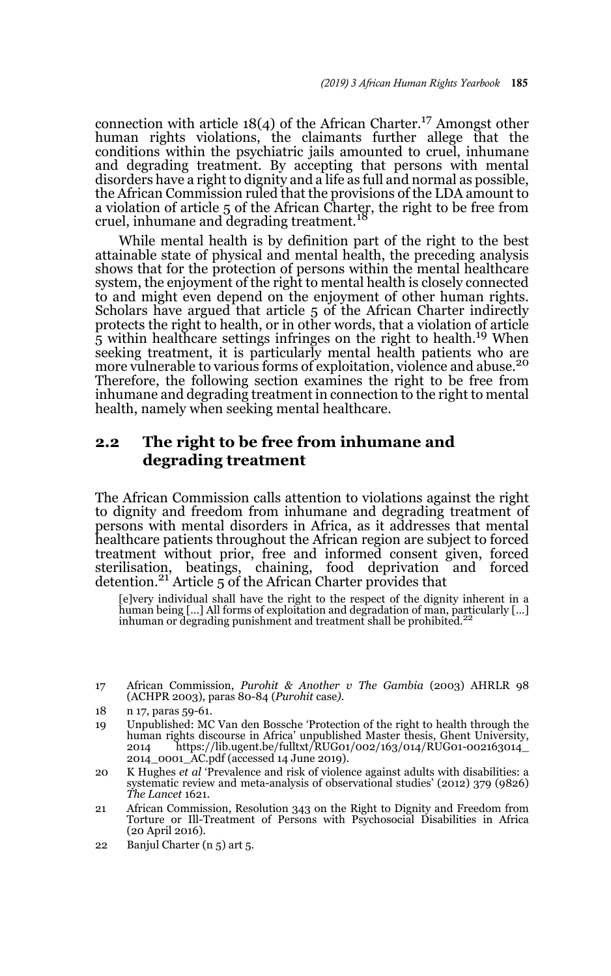connection with article  $18(4)$  of the African Charter.<sup>17</sup> Amongst other human rights violations, the claimants further allege that the conditions within the psychiatric jails amounted to cruel, inhumane and degrading treatment. By accepting that persons with mental disorders have a right to dignity and a life as full and normal as possible, the African Commission ruled that the provisions of the LDA amount to a violation of article 5 of the African Charter, the right to be free from cruel, inhumane and degrading treatment. $1$ <sup>1</sup>

While mental health is by definition part of the right to the best attainable state of physical and mental health, the preceding analysis shows that for the protection of persons within the mental healthcare system, the enjoyment of the right to mental health is closely connected to and might even depend on the enjoyment of other human rights. Scholars have argued that article 5 of the African Charter indirectly protects the right to health, or in other words, that a violation of article 5 within healthcare settings infringes on the right to health.<sup>19</sup> When seeking treatment, it is particularly mental health patients who are more vulnerable to various forms of exploitation, violence and abuse.<sup>20</sup> Therefore, the following section examines the right to be free from inhumane and degrading treatment in connection to the right to mental health, namely when seeking mental healthcare.

## **2.2 The right to be free from inhumane and degrading treatment**

The African Commission calls attention to violations against the right to dignity and freedom from inhumane and degrading treatment of persons with mental disorders in Africa, as it addresses that mental healthcare patients throughout the African region are subject to forced treatment without prior, free and informed consent given, forced sterilisation, beatings, chaining, food deprivation and forced<br>detention.<sup>21</sup> Article 5 of the African Charter provides that

[e]very individual shall have the right to the respect of the dignity inherent in a human being […] All forms of exploitation and degradation of man, particularly […] inhuman or degrading punishment and treatment shall be prohibited.<sup>22</sup>

<sup>17</sup> African Commission, *Purohit & Another v The Gambia* (2003) AHRLR 98 (ACHPR 2003), paras 80-84 (*Purohit* case*).*

<sup>18</sup> n 17, paras 59-61.

<sup>19</sup> Unpublished: MC Van den Bossche 'Protection of the right to health through the human rights discourse in Africa' unpublished Master thesis, Ghent University, 2014 https://lib.ugent.be/fulltxt/RUG01/002/163/014/RUG01-002163014\_ 2014\_0001\_AC.pdf (accessed 14 June 2019).

<sup>20</sup> K Hughes *et al* 'Prevalence and risk of violence against adults with disabilities: a systematic review and meta-analysis of observational studies' (2012) 379 (9826) *The Lancet* 1621.

<sup>21</sup> African Commission, Resolution 343 on the Right to Dignity and Freedom from Torture or Ill-Treatment of Persons with Psychosocial Disabilities in Africa (20 April 2016).

<sup>22</sup> Banjul Charter (n 5) art 5.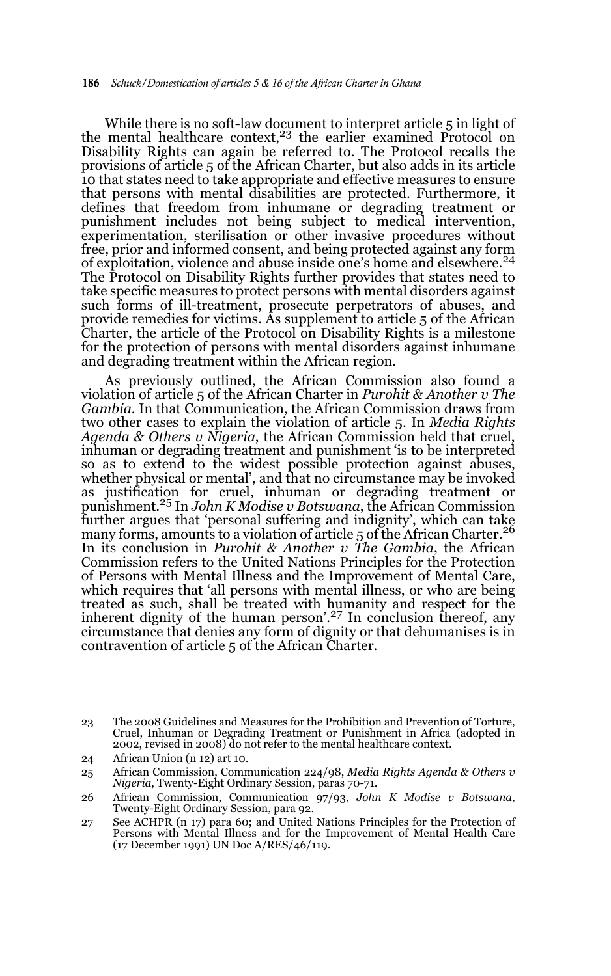While there is no soft-law document to interpret article 5 in light of the mental healthcare context, $23$  the earlier examined Protocol on Disability Rights can again be referred to. The Protocol recalls the provisions of article 5 of the African Charter, but also adds in its article 10 that states need to take appropriate and effective measures to ensure that persons with mental disabilities are protected. Furthermore, it defines that freedom from inhumane or degrading treatment or punishment includes not being subject to medical intervention, experimentation, sterilisation or other invasive procedures without free, prior and informed consent, and being protected against any form of exploitation, violence and abuse inside one's home and elsewhere.24 The Protocol on Disability Rights further provides that states need to take specific measures to protect persons with mental disorders against such forms of ill-treatment, prosecute perpetrators of abuses, and provide remedies for victims. As supplement to article 5 of the African Charter, the article of the Protocol on Disability Rights is a milestone for the protection of persons with mental disorders against inhumane and degrading treatment within the African region.

As previously outlined, the African Commission also found a violation of article 5 of the African Charter in *Purohit & Another v The Gambia*. In that Communication, the African Commission draws from two other cases to explain the violation of article 5. In *Media Rights Agenda & Others v Nigeria*, the African Commission held that cruel, inhuman or degrading treatment and punishment 'is to be interpreted so as to extend to the widest possible protection against abuses, whether physical or mental', and that no circumstance may be invoked as justification for cruel, inhuman or degrading treatment or punishment.25 In *John K Modise v Botswana*, the African Commission further argues that 'personal suffering and indignity', which can take many forms, amounts to a violation of article 5 of the African Charter.<sup>26</sup> In its conclusion in *Purohit & Another v The Gambia*, the African Commission refers to the United Nations Principles for the Protection of Persons with Mental Illness and the Improvement of Mental Care, which requires that 'all persons with mental illness, or who are being treated as such, shall be treated with humanity and respect for the inherent dignity of the human person'.<sup>27</sup> In conclusion thereof, any circumstance that denies any form of dignity or that dehumanises is in contravention of article 5 of the African Charter.

24 African Union (n 12) art 10.

<sup>23</sup> The 2008 Guidelines and Measures for the Prohibition and Prevention of Torture, Cruel, Inhuman or Degrading Treatment or Punishment in Africa (adopted in 2002, revised in 2008) do not refer to the mental healthcare context.

<sup>25</sup> African Commission, Communication 224/98, *Media Rights Agenda & Others v Nigeria*, Twenty-Eight Ordinary Session, paras 70-71.

<sup>26</sup> African Commission, Communication 97/93, *John K Modise v Botswana*, Twenty-Eight Ordinary Session, para 92.

<sup>27</sup> See ACHPR (n 17) para 60; and United Nations Principles for the Protection of Persons with Mental Illness and for the Improvement of Mental Health Care (17 December 1991) UN Doc A/RES/46/119.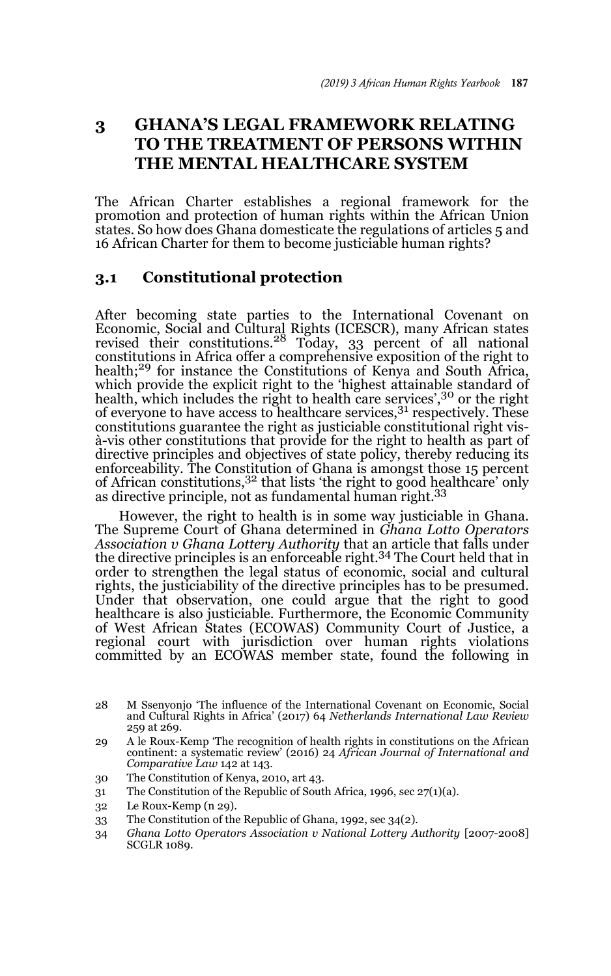# **3 GHANA'S LEGAL FRAMEWORK RELATING TO THE TREATMENT OF PERSONS WITHIN THE MENTAL HEALTHCARE SYSTEM**

The African Charter establishes a regional framework for the promotion and protection of human rights within the African Union states. So how does Ghana domesticate the regulations of articles 5 and 16 African Charter for them to become justiciable human rights?

#### **3.1 Constitutional protection**

After becoming state parties to the International Covenant on Economic, Social and Cultural Rights (ICESCR), many African states revised their constitutions.28 Today, 33 percent of all national constitutions in Africa offer a comprehensive exposition of the right to health;<sup>29</sup> for instance the Constitutions of Kenya and South Africa, which provide the explicit right to the 'highest attainable standard of health, which includes the right to health care services',<sup>30</sup> or the right of everyone to have access to healthcare services, $3<sup>1</sup>$  respectively. These constitutions guarantee the right as justiciable constitutional right visà-vis other constitutions that provide for the right to health as part of directive principles and objectives of state policy, thereby reducing its enforceability. The Constitution of Ghana is amongst those 15 percent of African constitutions,<sup>32</sup> that lists 'the right to good healthcare' only as directive principle, not as fundamental human right.<sup>33</sup>

However, the right to health is in some way justiciable in Ghana. The Supreme Court of Ghana determined in *Ghana Lotto Operators Association v Ghana Lottery Authority* that an article that falls under the directive principles is an enforceable right.34 The Court held that in order to strengthen the legal status of economic, social and cultural rights, the justiciability of the directive principles has to be presumed. Under that observation, one could argue that the right to good healthcare is also justiciable. Furthermore, the Economic Community of West African States (ECOWAS) Community Court of Justice, a regional court with jurisdiction over human rights violations committed by an ECOWAS member state, found the following in

- 31 The Constitution of the Republic of South Africa, 1996, sec 27(1)(a).
- 32 Le Roux-Kemp (n 29).
- 33 The Constitution of the Republic of Ghana, 1992, sec 34(2).
- 34 *Ghana Lotto Operators Association v National Lottery Authority* [2007-2008] SCGLR 1089.

<sup>28</sup> M Ssenyonjo 'The influence of the International Covenant on Economic, Social and Cultural Rights in Africa' (2017) 64 *Netherlands International Law Review* 259 at 269.

<sup>29</sup> A le Roux-Kemp 'The recognition of health rights in constitutions on the African continent: a systematic review' (2016) 24 *African Journal of International and Comparative Law* 142 at 143.

<sup>30</sup> The Constitution of Kenya, 2010, art 43.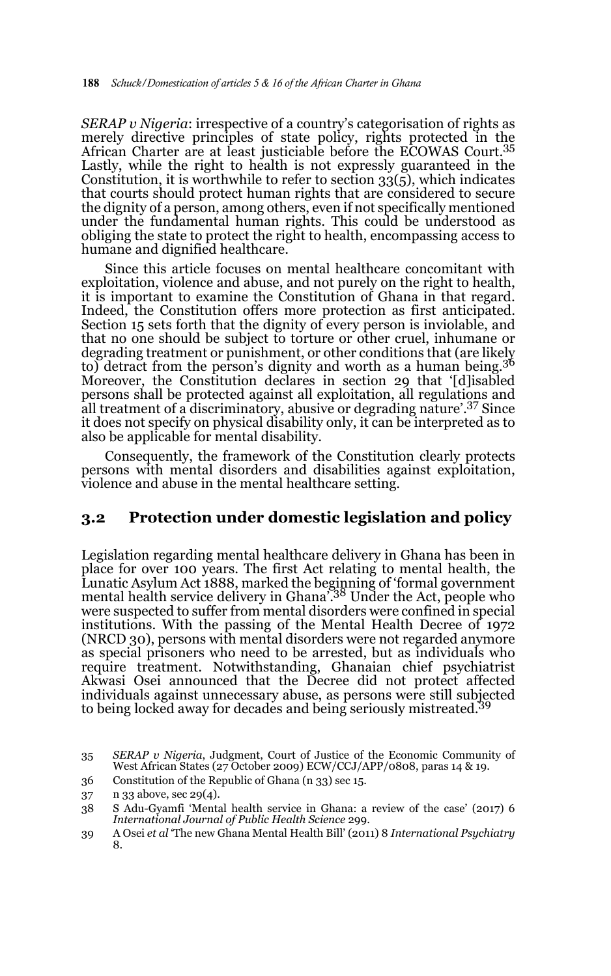*SERAP v Nigeria*: irrespective of a country's categorisation of rights as merely directive principles of state policy, rights protected in the African Charter are at least justiciable before the ECOWAS Court.<sup>35</sup> Lastly, while the right to health is not expressly guaranteed in the Constitution, it is worthwhile to refer to section  $33(5)$ , which indicates that courts should protect human rights that are considered to secure the dignity of a person, among others, even if not specifically mentioned under the fundamental human rights. This could be understood as obliging the state to protect the right to health, encompassing access to humane and dignified healthcare.

Since this article focuses on mental healthcare concomitant with exploitation, violence and abuse, and not purely on the right to health, it is important to examine the Constitution of Ghana in that regard. Indeed, the Constitution offers more protection as first anticipated. Section 15 sets forth that the dignity of every person is inviolable, and that no one should be subject to torture or other cruel, inhumane or degrading treatment or punishment, or other conditions that (are likely to) detract from the person's dignity and worth as a human being.36 Moreover, the Constitution declares in section 29 that '[d]isabled persons shall be protected against all exploitation, all regulations and all treatment of a discriminatory, abusive or degrading nature'.37 Since it does not specify on physical disability only, it can be interpreted as to also be applicable for mental disability.

Consequently, the framework of the Constitution clearly protects persons with mental disorders and disabilities against exploitation, violence and abuse in the mental healthcare setting.

#### **3.2 Protection under domestic legislation and policy**

Legislation regarding mental healthcare delivery in Ghana has been in place for over 100 years. The first Act relating to mental health, the Lunatic Asylum Act 1888, marked the beginning of 'formal government mental health service delivery in Ghana'.38 Under the Act, people who were suspected to suffer from mental disorders were confined in special institutions. With the passing of the Mental Health Decree of 1972 (NRCD 30), persons with mental disorders were not regarded anymore as special prisoners who need to be arrested, but as individuals who require treatment. Notwithstanding, Ghanaian chief psychiatrist Akwasi Osei announced that the Decree did not protect affected individuals against unnecessary abuse, as persons were still subjected to being locked away for decades and being seriously mistreated.<sup>39</sup>

36 Constitution of the Republic of Ghana (n 33) sec 15.

<sup>35</sup> *SERAP v Nigeria*, Judgment, Court of Justice of the Economic Community of West African States (27 October 2009) ECW/CCJ/APP/0808, paras 14 & 19.

<sup>37</sup> n 33 above, sec 29(4).

<sup>38</sup> S Adu-Gyamfi 'Mental health service in Ghana: a review of the case' (2017) 6 *International Journal of Public Health Science* 299.

<sup>39</sup> A Osei *et al* 'The new Ghana Mental Health Bill' (2011) 8 *International Psychiatry* 8.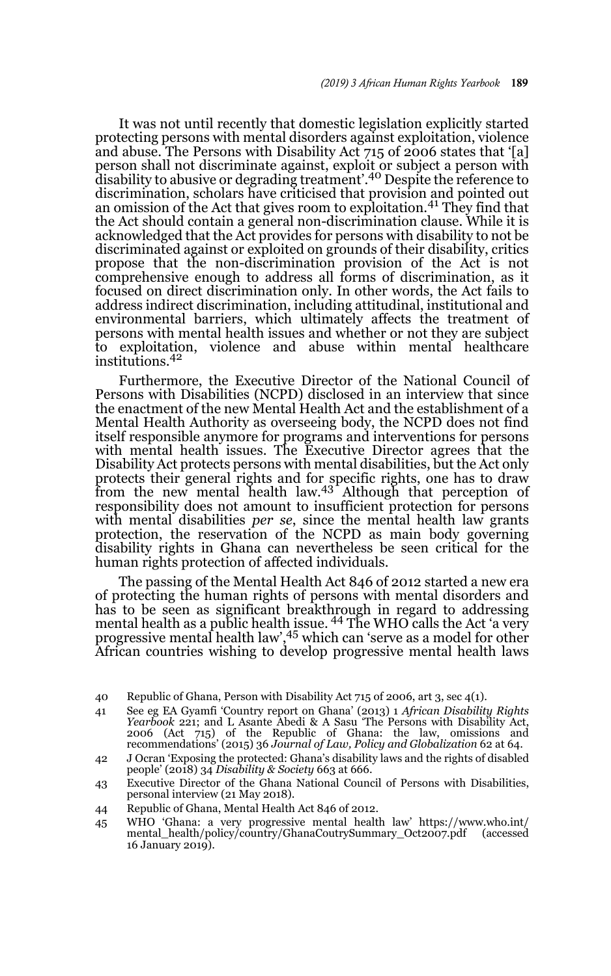It was not until recently that domestic legislation explicitly started protecting persons with mental disorders against exploitation, violence and abuse. The Persons with Disability Act 715 of 2006 states that '[a] person shall not discriminate against, exploit or subject a person with disability to abusive or degrading treatment'.40 Despite the reference to discrimination, scholars have criticised that provision and pointed out an omission of the Act that gives room to exploitation.<sup>41</sup> They find that the Act should contain a general non-discrimination clause. While it is acknowledged that the Act provides for persons with disability to not be discriminated against or exploited on grounds of their disability, critics propose that the non-discrimination provision of the Act is not comprehensive enough to address all forms of discrimination, as it focused on direct discrimination only. In other words, the Act fails to address indirect discrimination, including attitudinal, institutional and environmental barriers, which ultimately affects the treatment of persons with mental health issues and whether or not they are subject to exploitation, violence and abuse within mental healthcare institutions.<sup>42</sup>

Furthermore, the Executive Director of the National Council of Persons with Disabilities (NCPD) disclosed in an interview that since the enactment of the new Mental Health Act and the establishment of a Mental Health Authority as overseeing body, the NCPD does not find itself responsible anymore for programs and interventions for persons with mental health issues. The Executive Director agrees that the Disability Act protects persons with mental disabilities, but the Act only protects their general rights and for specific rights, one has to draw from the new mental health law.<sup>43</sup> Although that perception of responsibility does not amount to insufficient protection for persons with mental disabilities *per se*, since the mental health law grants protection, the reservation of the NCPD as main body governing disability rights in Ghana can nevertheless be seen critical for the human rights protection of affected individuals.

The passing of the Mental Health Act 846 of 2012 started a new era of protecting the human rights of persons with mental disorders and has to be seen as significant breakthrough in regard to addressing mental health as a public health issue. <sup>44</sup> The WHO calls the Act 'a very progressive mental health law',45 which can 'serve as a model for other African countries wishing to develop progressive mental health laws

- 41 See eg EA Gyamfi 'Country report on Ghana' (2013) 1 *African Disability Rights Yearbook* 221; and L Asante Abedi & A Sasu 'The Persons with Disability Act, 2006 (Act 715) of the Republic of Ghana: the law, omissions and recommendations' (2015) 36 *Journal of Law, Policy and Globalization* 62 at 64.
- 42 J Ocran 'Exposing the protected: Ghana's disability laws and the rights of disabled people' (2018) 34 *Disability & Society* 663 at 666.
- 43 Executive Director of the Ghana National Council of Persons with Disabilities, personal interview (21 May 2018).
- 44 Republic of Ghana, Mental Health Act 846 of 2012.
- 45 WHO 'Ghana: a very progressive mental health law' https://www.who.int/ mental\_health/policy/country/GhanaCoutrySummary\_Oct2007.pdf (accessed 16 January 2019).

<sup>40</sup> Republic of Ghana, Person with Disability Act 715 of 2006, art 3, sec 4(1).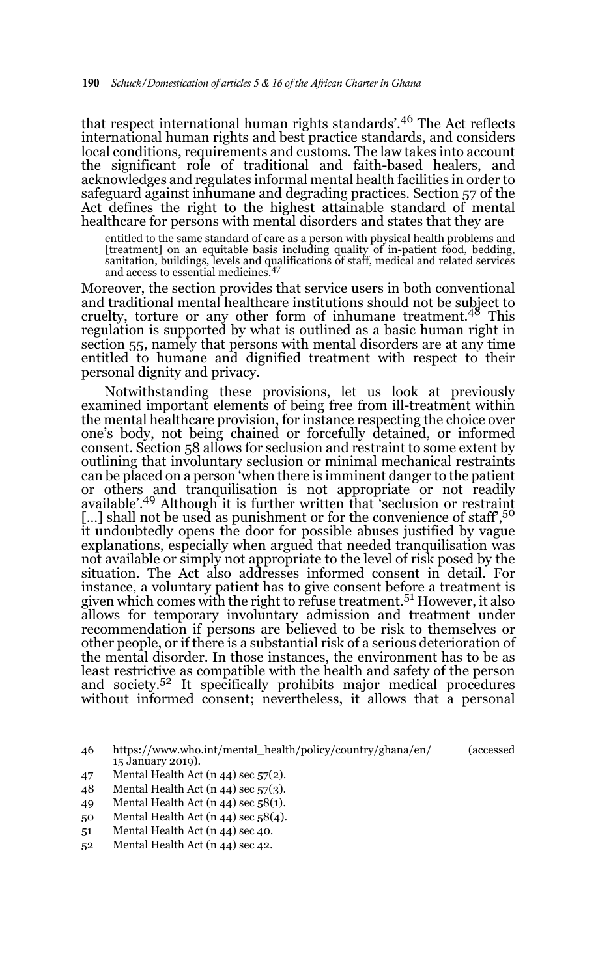that respect international human rights standards'.46 The Act reflects international human rights and best practice standards, and considers local conditions, requirements and customs. The law takes into account the significant role of traditional and faith-based healers, and acknowledges and regulates informal mental health facilities in order to safeguard against inhumane and degrading practices. Section 57 of the Act defines the right to the highest attainable standard of mental healthcare for persons with mental disorders and states that they are

entitled to the same standard of care as a person with physical health problems and [treatment] on an equitable basis including quality of in-patient food, bedding, sanitation, buildings, levels and qualifications of staff, medical and related services and access to essential medicines.

Moreover, the section provides that service users in both conventional and traditional mental healthcare institutions should not be subject to cruelty, torture or any other form of inhumane treatment.48 This regulation is supported by what is outlined as a basic human right in section 55, namely that persons with mental disorders are at any time entitled to humane and dignified treatment with respect to their personal dignity and privacy.

Notwithstanding these provisions, let us look at previously examined important elements of being free from ill-treatment within the mental healthcare provision, for instance respecting the choice over one's body, not being chained or forcefully detained, or informed consent. Section 58 allows for seclusion and restraint to some extent by outlining that involuntary seclusion or minimal mechanical restraints can be placed on a person 'when there is imminent danger to the patient or others and tranquilisation is not appropriate or not readily available'.49 Although it is further written that 'seclusion or restraint [...] shall not be used as punishment or for the convenience of staff',<sup>50</sup> it undoubtedly opens the door for possible abuses justified by vague explanations, especially when argued that needed tranquilisation was not available or simply not appropriate to the level of risk posed by the situation. The Act also addresses informed consent in detail. For instance, a voluntary patient has to give consent before a treatment is given which comes with the right to refuse treatment.51 However, it also allows for temporary involuntary admission and treatment under recommendation if persons are believed to be risk to themselves or other people, or if there is a substantial risk of a serious deterioration of the mental disorder. In those instances, the environment has to be as least restrictive as compatible with the health and safety of the person and society.52 It specifically prohibits major medical procedures without informed consent; nevertheless, it allows that a personal

- 49 Mental Health Act (n 44) sec 58(1).
- 50 Mental Health Act (n 44) sec 58(4).
- 51 Mental Health Act (n 44) sec 40.
- 52 Mental Health Act (n 44) sec 42.

<sup>46</sup> https://www.who.int/mental\_health/policy/country/ghana/en/ (accessed 15 January 2019).

<sup>47</sup> Mental Health Act (n 44) sec 57(2).

<sup>48</sup> Mental Health Act (n 44) sec 57(3).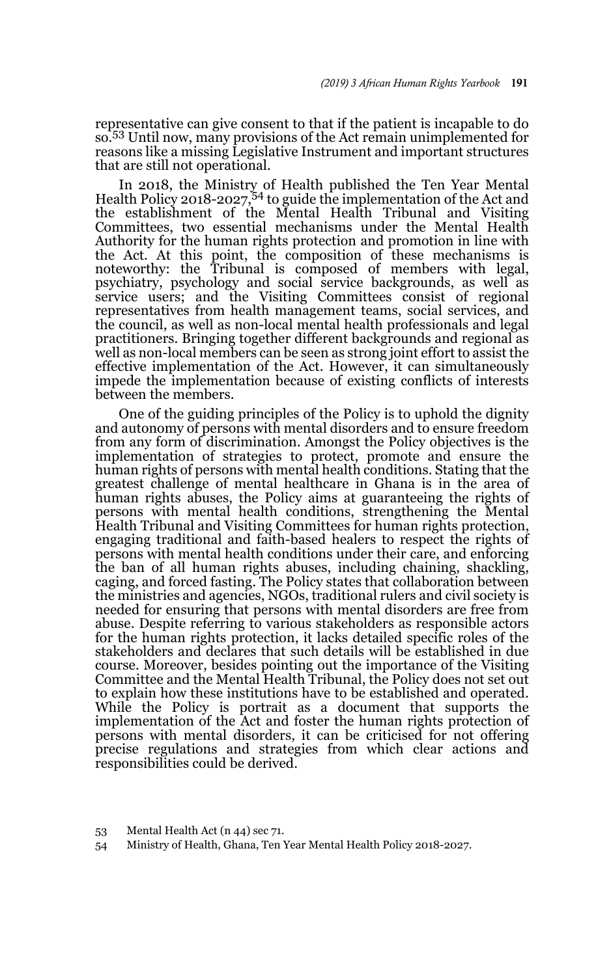representative can give consent to that if the patient is incapable to do so.53 Until now, many provisions of the Act remain unimplemented for reasons like a missing Legislative Instrument and important structures that are still not operational.

In 2018, the Ministry of Health published the Ten Year Mental Health Policy 2018-2027,54 to guide the implementation of the Act and the establishment of the Mental Health Tribunal and Visiting Committees, two essential mechanisms under the Mental Health Authority for the human rights protection and promotion in line with the Act. At this point, the composition of these mechanisms is noteworthy: the Tribunal is composed of members with legal, psychiatry, psychology and social service backgrounds, as well as service users; and the Visiting Committees consist of regional representatives from health management teams, social services, and the council, as well as non-local mental health professionals and legal practitioners. Bringing together different backgrounds and regional as well as non-local members can be seen as strong joint effort to assist the effective implementation of the Act. However, it can simultaneously impede the implementation because of existing conflicts of interests between the members.

One of the guiding principles of the Policy is to uphold the dignity and autonomy of persons with mental disorders and to ensure freedom from any form of discrimination. Amongst the Policy objectives is the implementation of strategies to protect, promote and ensure the human rights of persons with mental health conditions. Stating that the greatest challenge of mental healthcare in Ghana is in the area of human rights abuses, the Policy aims at guaranteeing the rights of persons with mental health conditions, strengthening the Mental Health Tribunal and Visiting Committees for human rights protection, engaging traditional and faith-based healers to respect the rights of persons with mental health conditions under their care, and enforcing the ban of all human rights abuses, including chaining, shackling, caging, and forced fasting. The Policy states that collaboration between the ministries and agencies, NGOs, traditional rulers and civil society is needed for ensuring that persons with mental disorders are free from abuse. Despite referring to various stakeholders as responsible actors for the human rights protection, it lacks detailed specific roles of the stakeholders and declares that such details will be established in due course. Moreover, besides pointing out the importance of the Visiting Committee and the Mental Health Tribunal, the Policy does not set out to explain how these institutions have to be established and operated. While the Policy is portrait as a document that supports the implementation of the Act and foster the human rights protection of persons with mental disorders, it can be criticised for not offering precise regulations and strategies from which clear actions and responsibilities could be derived.

54 Ministry of Health, Ghana, Ten Year Mental Health Policy 2018-2027.

<sup>53</sup> Mental Health Act (n 44) sec 71.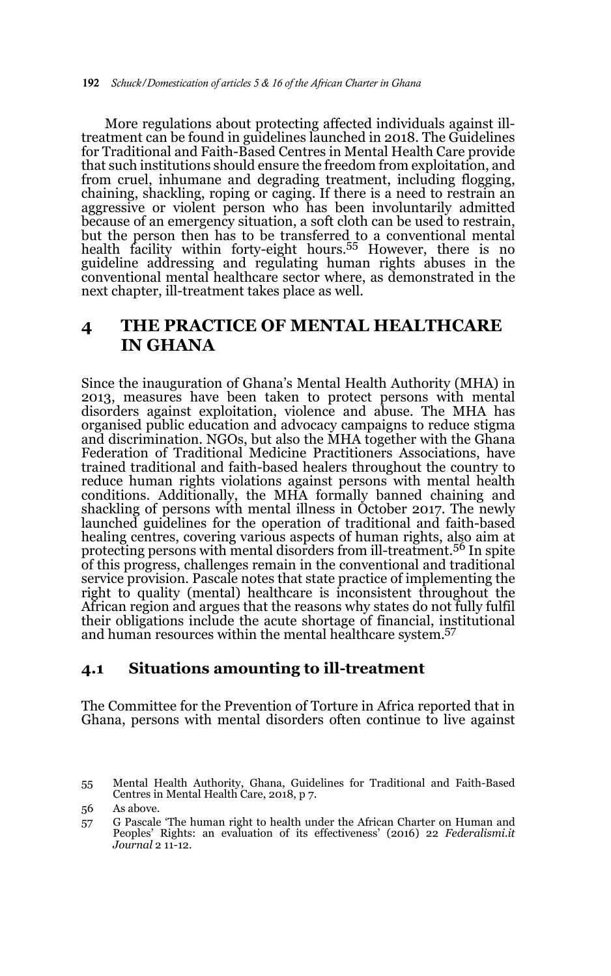More regulations about protecting affected individuals against illtreatment can be found in guidelines launched in 2018. The Guidelines for Traditional and Faith-Based Centres in Mental Health Care provide that such institutions should ensure the freedom from exploitation, and from cruel, inhumane and degrading treatment, including flogging, chaining, shackling, roping or caging. If there is a need to restrain an aggressive or violent person who has been involuntarily admitted because of an emergency situation, a soft cloth can be used to restrain, but the person then has to be transferred to a conventional mental health facility within forty-eight hours.<sup>55</sup> However, there is no guideline addressing and regulating human rights abuses in the conventional mental healthcare sector where, as demonstrated in the next chapter, ill-treatment takes place as well.

## **4 THE PRACTICE OF MENTAL HEALTHCARE IN GHANA**

Since the inauguration of Ghana's Mental Health Authority (MHA) in 2013, measures have been taken to protect persons with mental disorders against exploitation, violence and abuse. The MHA has organised public education and advocacy campaigns to reduce stigma and discrimination. NGOs, but also the MHA together with the Ghana Federation of Traditional Medicine Practitioners Associations, have trained traditional and faith-based healers throughout the country to reduce human rights violations against persons with mental health conditions. Additionally, the MHA formally banned chaining and shackling of persons with mental illness in October 2017. The newly launched guidelines for the operation of traditional and faith-based healing centres, covering various aspects of human rights, also aim at protecting persons with mental disorders from ill-treatment.56 In spite of this progress, challenges remain in the conventional and traditional service provision. Pascale notes that state practice of implementing the right to quality (mental) healthcare is inconsistent throughout the African region and argues that the reasons why states do not fully fulfil their obligations include the acute shortage of financial, institutional and human resources within the mental healthcare system.57

### **4.1 Situations amounting to ill-treatment**

The Committee for the Prevention of Torture in Africa reported that in Ghana, persons with mental disorders often continue to live against

<sup>55</sup> Mental Health Authority, Ghana, Guidelines for Traditional and Faith-Based Centres in Mental Health Care, 2018, p 7.

<sup>56</sup> As above.

<sup>57</sup> G Pascale 'The human right to health under the African Charter on Human and Peoples' Rights: an evaluation of its effectiveness' (2016) 22 *Federalismi.it Journal* 2 11-12.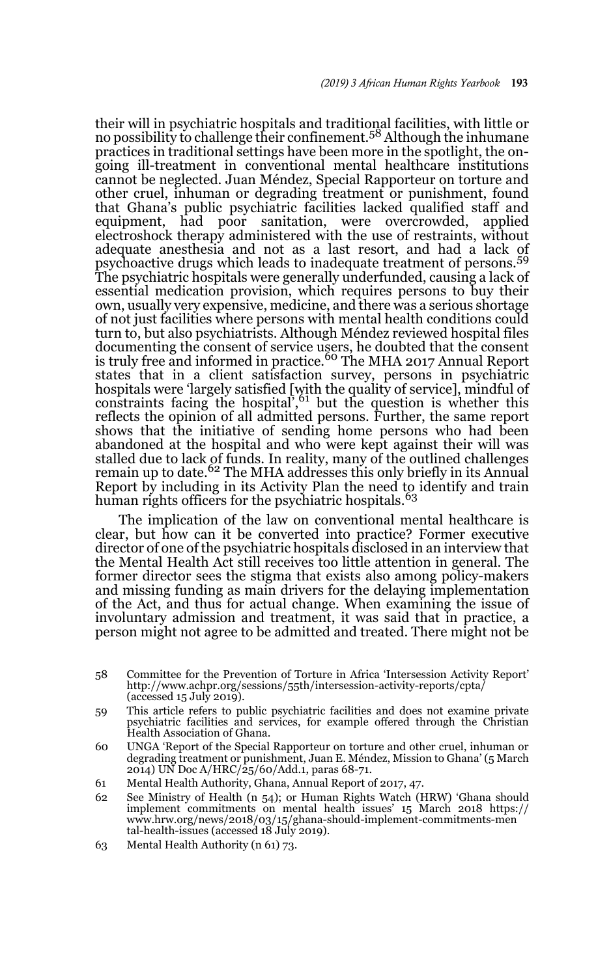their will in psychiatric hospitals and traditional facilities, with little or no possibility to challenge their confinement.58 Although the inhumane practices in traditional settings have been more in the spotlight, the ongoing ill-treatment in conventional mental healthcare institutions cannot be neglected. Juan Méndez, Special Rapporteur on torture and other cruel, inhuman or degrading treatment or punishment, found that Ghana's public psychiatric facilities lacked qualified staff and equipment, had poor sanitation, were overcrowded, applied electroshock therapy administered with the use of restraints, without adequate anesthesia and not as a last resort, and had a lack of psychoactive drugs which leads to inadequate treatment of persons.<sup>59</sup> The psychiatric hospitals were generally underfunded, causing a lack of essential medication provision, which requires persons to buy their own, usually very expensive, medicine, and there was a serious shortage of not just facilities where persons with mental health conditions could turn to, but also psychiatrists. Although Méndez reviewed hospital files documenting the consent of service users, he doubted that the consent is truly free and informed in practice.<sup>60</sup> The MHA 2017 Annual Report states that in a client satisfaction survey, persons in psychiatric hospitals were 'largely satisfied [with the quality of service], mindful of constraints facing the hospital',<sup>61</sup> but the question is whether this reflects the opinion of all admitted persons. Further, the same report shows that the initiative of sending home persons who had been abandoned at the hospital and who were kept against their will was stalled due to lack of funds. In reality, many of the outlined challenges remain up to date.<sup>62</sup> The MHA addresses this only briefly in its Annual Report by including in its Activity Plan the need to identify and train human rights officers for the psychiatric hospitals.<sup>63</sup>

The implication of the law on conventional mental healthcare is clear, but how can it be converted into practice? Former executive director of one of the psychiatric hospitals disclosed in an interview that the Mental Health Act still receives too little attention in general. The former director sees the stigma that exists also among policy-makers and missing funding as main drivers for the delaying implementation of the Act, and thus for actual change. When examining the issue of involuntary admission and treatment, it was said that in practice, a person might not agree to be admitted and treated. There might not be

- 59 This article refers to public psychiatric facilities and does not examine private psychiatric facilities and services, for example offered through the Christian Health Association of Ghana.
- 60 UNGA 'Report of the Special Rapporteur on torture and other cruel, inhuman or degrading treatment or punishment, Juan E. Méndez, Mission to Ghana' (5 March 2014) UN Doc A/HRC/25/60/Add.1, paras 68-71.
- 61 Mental Health Authority, Ghana, Annual Report of 2017, 47.
- 62 See Ministry of Health (n 54); or Human Rights Watch (HRW) 'Ghana should implement commitments on mental health issues' 15 March 2018 https:// www.hrw.org/news/2018/03/15/ghana-should-implement-commitments-men tal-health-issues (accessed 18 July 2019).
- 63 Mental Health Authority (n 61) 73.

<sup>58</sup> Committee for the Prevention of Torture in Africa 'Intersession Activity Report' http://www.achpr.org/sessions/55th/intersession-activity-reports/cpta/  $(\text{accessed } 15 \text{ July } 2019).$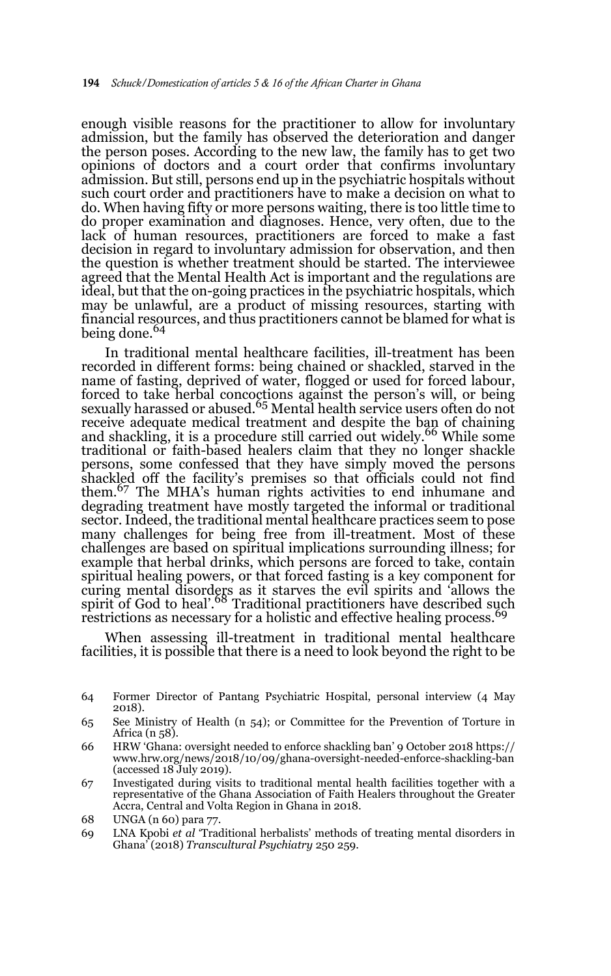enough visible reasons for the practitioner to allow for involuntary admission, but the family has observed the deterioration and danger the person poses. According to the new law, the family has to get two opinions of doctors and a court order that confirms involuntary admission. But still, persons end up in the psychiatric hospitals without such court order and practitioners have to make a decision on what to do. When having fifty or more persons waiting, there is too little time to do proper examination and diagnoses. Hence, very often, due to the lack of human resources, practitioners are forced to make a fast decision in regard to involuntary admission for observation, and then the question is whether treatment should be started. The interviewee agreed that the Mental Health Act is important and the regulations are ideal, but that the on-going practices in the psychiatric hospitals, which may be unlawful, are a product of missing resources, starting with financial resources, and thus practitioners cannot be blamed for what is being done.<sup>64</sup>

In traditional mental healthcare facilities, ill-treatment has been recorded in different forms: being chained or shackled, starved in the name of fasting, deprived of water, flogged or used for forced labour, forced to take herbal concoctions against the person's will, or being sexually harassed or abused.<sup>65</sup> Mental health service users often do not receive adequate medical treatment and despite the ban of chaining<br>and shackling, it is a procedure still carried out widely.<sup>66</sup> While some traditional or faith-based healers claim that they no longer shackle persons, some confessed that they have simply moved the persons shackled off the facility's premises so that officials could not find them.67 The MHA's human rights activities to end inhumane and degrading treatment have mostly targeted the informal or traditional sector. Indeed, the traditional mental healthcare practices seem to pose many challenges for being free from ill-treatment. Most of these challenges are based on spiritual implications surrounding illness; for example that herbal drinks, which persons are forced to take, contain spiritual healing powers, or that forced fasting is a key component for curing mental disorders as it starves the evil spirits and 'allows the spirit of God to heal'.<sup>68</sup> Traditional practitioners have described such restrictions as necessary for a holistic and effective healing process.<sup>69</sup>

When assessing ill-treatment in traditional mental healthcare facilities, it is possible that there is a need to look beyond the right to be

<sup>64</sup> Former Director of Pantang Psychiatric Hospital, personal interview (4 May 2018).

<sup>65</sup> See Ministry of Health (n 54); or Committee for the Prevention of Torture in Africa (n 58).

<sup>66</sup> HRW 'Ghana: oversight needed to enforce shackling ban' 9 October 2018 https:// www.hrw.org/news/2018/10/09/ghana-oversight-needed-enforce-shackling-ban (accessed 18 July 2019).

<sup>67</sup> Investigated during visits to traditional mental health facilities together with a representative of the Ghana Association of Faith Healers throughout the Greater Accra, Central and Volta Region in Ghana in 2018.

<sup>68</sup> UNGA (n 60) para 77.

<sup>69</sup> LNA Kpobi *et al* 'Traditional herbalists' methods of treating mental disorders in Ghana' (2018) *Transcultural Psychiatry* 250 259.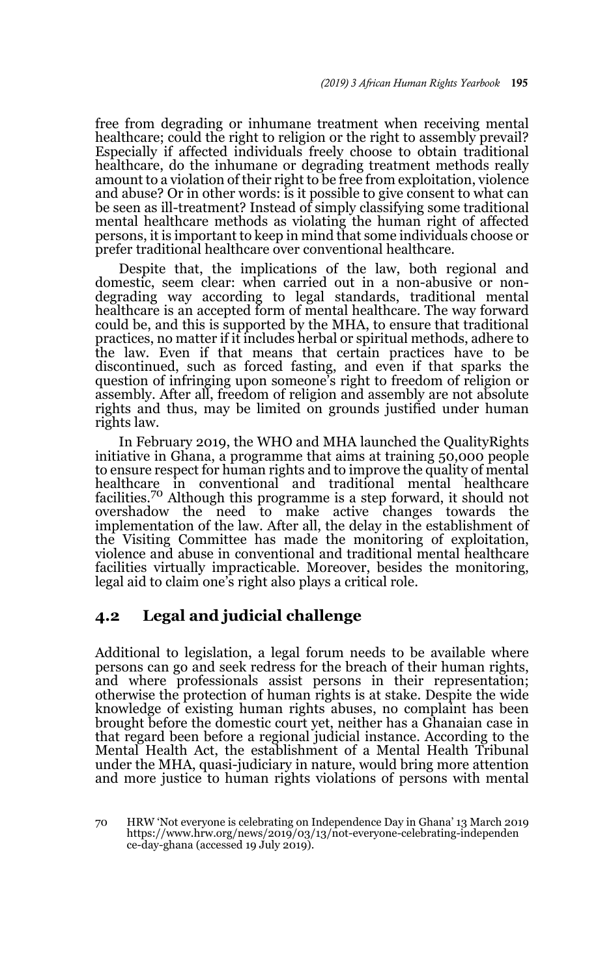free from degrading or inhumane treatment when receiving mental healthcare; could the right to religion or the right to assembly prevail? Especially if affected individuals freely choose to obtain traditional healthcare, do the inhumane or degrading treatment methods really amount to a violation of their right to be free from exploitation, violence and abuse? Or in other words: is it possible to give consent to what can be seen as ill-treatment? Instead of simply classifying some traditional mental healthcare methods as violating the human right of affected persons, it is important to keep in mind that some individuals choose or prefer traditional healthcare over conventional healthcare.

Despite that, the implications of the law, both regional and domestic, seem clear: when carried out in a non-abusive or nondegrading way according to legal standards, traditional mental healthcare is an accepted form of mental healthcare. The way forward could be, and this is supported by the MHA, to ensure that traditional practices, no matter if it includes herbal or spiritual methods, adhere to the law. Even if that means that certain practices have to be discontinued, such as forced fasting, and even if that sparks the question of infringing upon someone's right to freedom of religion or assembly. After all, freedom of religion and assembly are not absolute rights and thus, may be limited on grounds justified under human rights law.

In February 2019, the WHO and MHA launched the QualityRights initiative in Ghana, a programme that aims at training 50,000 people to ensure respect for human rights and to improve the quality of mental healthcare in conventional and traditional mental healthcare facilities.<sup>70</sup> Although this programme is a step forward, it should not overshadow the need to make active changes towards the implementation of the law. After all, the delay in the establishment of the Visiting Committee has made the monitoring of exploitation, violence and abuse in conventional and traditional mental healthcare facilities virtually impracticable. Moreover, besides the monitoring, legal aid to claim one's right also plays a critical role.

## **4.2 Legal and judicial challenge**

Additional to legislation, a legal forum needs to be available where persons can go and seek redress for the breach of their human rights, and where professionals assist persons in their representation; otherwise the protection of human rights is at stake. Despite the wide knowledge of existing human rights abuses, no complaint has been brought before the domestic court yet, neither has a Ghanaian case in that regard been before a regional judicial instance. According to the Mental Health Act, the establishment of a Mental Health Tribunal under the MHA, quasi-judiciary in nature, would bring more attention and more justice to human rights violations of persons with mental

<sup>70</sup> HRW 'Not everyone is celebrating on Independence Day in Ghana' 13 March 2019 https://www.hrw.org/news/2019/03/13/not-everyone-celebrating-independen ce-day-ghana (accessed 19 July 2019).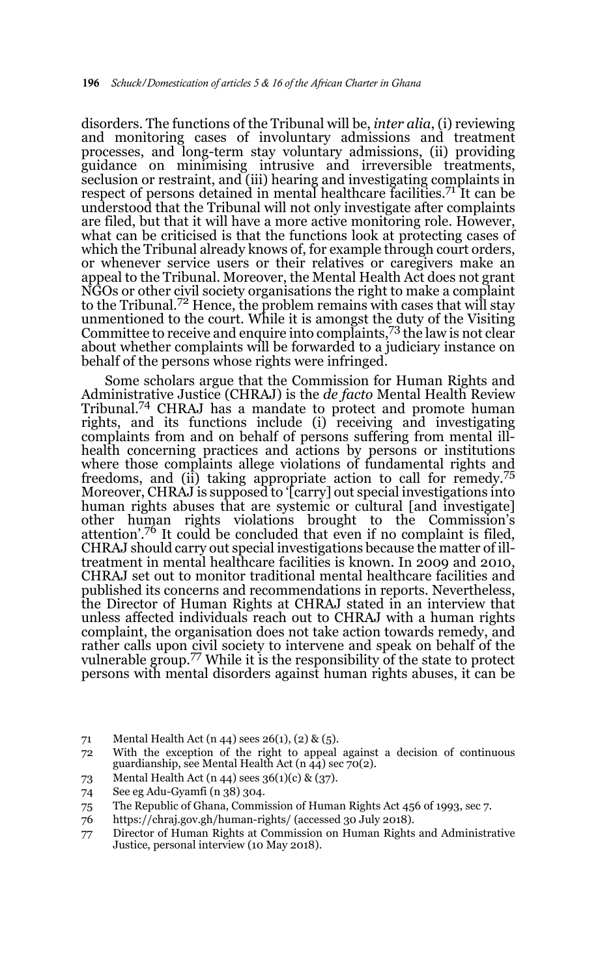disorders. The functions of the Tribunal will be, *inter alia*, (i) reviewing and monitoring cases of involuntary admissions and treatment processes, and long-term stay voluntary admissions, (ii) providing guidance on minimising intrusive and irreversible treatments, seclusion or restraint, and (iii) hearing and investigating complaints in respect of persons detained in mental healthcare facilities.<sup>71</sup> It can be understood that the Tribunal will not only investigate after complaints are filed, but that it will have a more active monitoring role. However, what can be criticised is that the functions look at protecting cases of which the Tribunal already knows of, for example through court orders, or whenever service users or their relatives or caregivers make an appeal to the Tribunal. Moreover, the Mental Health Act does not grant NGOs or other civil society organisations the right to make a complaint to the Tribunal.<sup>72</sup> Hence, the problem remains with cases that will stay unmentioned to the court. While it is amongst the duty of the Visiting Committee to receive and enquire into complaints,  $73$  the law is not clear about whether complaints will be forwarded to a judiciary instance on behalf of the persons whose rights were infringed.

Some scholars argue that the Commission for Human Rights and Administrative Justice (CHRAJ) is the *de facto* Mental Health Review Tribunal.74 CHRAJ has a mandate to protect and promote human rights, and its functions include (i) receiving and investigating complaints from and on behalf of persons suffering from mental illhealth concerning practices and actions by persons or institutions where those complaints allege violations of fundamental rights and freedoms, and (ii) taking appropriate action to call for remedy.<sup>75</sup> Moreover, CHRAJ is supposed to '[carry] out special investigations into human rights abuses that are systemic or cultural [and investigate] other human rights violations brought to the Commission's attention'.76 It could be concluded that even if no complaint is filed, CHRAJ should carry out special investigations because the matter of illtreatment in mental healthcare facilities is known. In 2009 and 2010, CHRAJ set out to monitor traditional mental healthcare facilities and published its concerns and recommendations in reports. Nevertheless, the Director of Human Rights at CHRAJ stated in an interview that unless affected individuals reach out to CHRAJ with a human rights complaint, the organisation does not take action towards remedy, and rather calls upon civil society to intervene and speak on behalf of the vulnerable group.<sup>77</sup> While it is the responsibility of the state to protect persons with mental disorders against human rights abuses, it can be

- 71 Mental Health Act (n 44) sees 26(1), (2) & (5).
- 72 With the exception of the right to appeal against a decision of continuous guardianship, see Mental Health Act (n  $44$ ) sec 70(2).
- 73 Mental Health Act (n 44) sees 36(1)(c) & (37).
- 74 See eg Adu-Gyamfi (n 38) 304.
- 75 The Republic of Ghana, Commission of Human Rights Act 456 of 1993, sec 7.
- 76 https://chraj.gov.gh/human-rights/ (accessed 30 July 2018).
- 77 Director of Human Rights at Commission on Human Rights and Administrative Justice, personal interview (10 May 2018).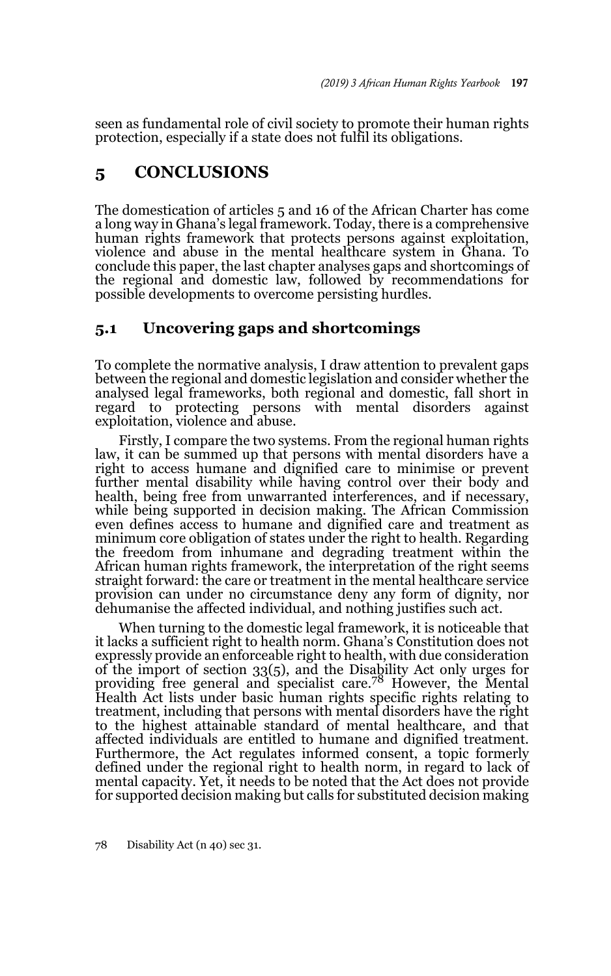seen as fundamental role of civil society to promote their human rights protection, especially if a state does not fulfil its obligations.

## **5 CONCLUSIONS**

The domestication of articles 5 and 16 of the African Charter has come a long way in Ghana's legal framework. Today, there is a comprehensive human rights framework that protects persons against exploitation, violence and abuse in the mental healthcare system in Ghana. To conclude this paper, the last chapter analyses gaps and shortcomings of the regional and domestic law, followed by recommendations for possible developments to overcome persisting hurdles.

### **5.1 Uncovering gaps and shortcomings**

To complete the normative analysis, I draw attention to prevalent gaps between the regional and domestic legislation and consider whether the analysed legal frameworks, both regional and domestic, fall short in regard to protecting persons with mental disorders against exploitation, violence and abuse.

Firstly, I compare the two systems. From the regional human rights law, it can be summed up that persons with mental disorders have a right to access humane and dignified care to minimise or prevent further mental disability while having control over their body and health, being free from unwarranted interferences, and if necessary, while being supported in decision making. The African Commission even defines access to humane and dignified care and treatment as minimum core obligation of states under the right to health. Regarding the freedom from inhumane and degrading treatment within the African human rights framework, the interpretation of the right seems straight forward: the care or treatment in the mental healthcare service provision can under no circumstance deny any form of dignity, nor dehumanise the affected individual, and nothing justifies such act.

When turning to the domestic legal framework, it is noticeable that it lacks a sufficient right to health norm. Ghana's Constitution does not expressly provide an enforceable right to health, with due consideration of the import of section 33(5), and the Disability Act only urges for providing free general and specialist care.78 However, the Mental Health Act lists under basic human rights specific rights relating to treatment, including that persons with mental disorders have the right to the highest attainable standard of mental healthcare, and that affected individuals are entitled to humane and dignified treatment. Furthermore, the Act regulates informed consent, a topic formerly defined under the regional right to health norm, in regard to lack of mental capacity. Yet, it needs to be noted that the Act does not provide for supported decision making but calls for substituted decision making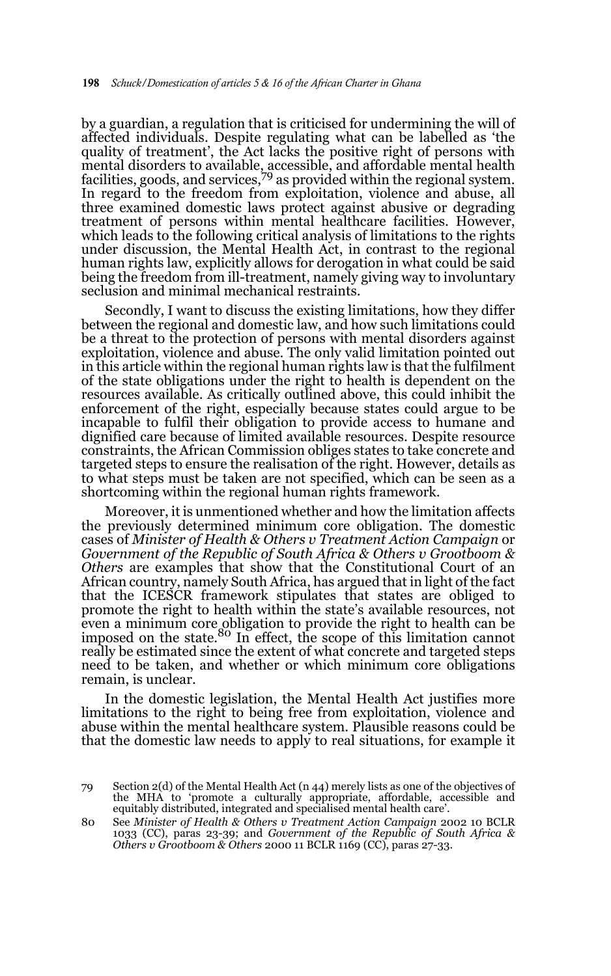by a guardian, a regulation that is criticised for undermining the will of affected individuals. Despite regulating what can be labelled as 'the quality of treatment', the Act lacks the positive right of persons with mental disorders to available, accessible, and affordable mental health facilities, goods, and services,  $\frac{79}{9}$  as provided within the regional system. In regard to the freedom from exploitation, violence and abuse, all three examined domestic laws protect against abusive or degrading treatment of persons within mental healthcare facilities. However, which leads to the following critical analysis of limitations to the rights under discussion, the Mental Health Act, in contrast to the regional human rights law, explicitly allows for derogation in what could be said being the freedom from ill-treatment, namely giving way to involuntary seclusion and minimal mechanical restraints.

Secondly, I want to discuss the existing limitations, how they differ between the regional and domestic law, and how such limitations could be a threat to the protection of persons with mental disorders against exploitation, violence and abuse. The only valid limitation pointed out in this article within the regional human rights law is that the fulfilment of the state obligations under the right to health is dependent on the resources available. As critically outlined above, this could inhibit the enforcement of the right, especially because states could argue to be incapable to fulfil their obligation to provide access to humane and dignified care because of limited available resources. Despite resource constraints, the African Commission obliges states to take concrete and targeted steps to ensure the realisation of the right. However, details as to what steps must be taken are not specified, which can be seen as a shortcoming within the regional human rights framework.

Moreover, it is unmentioned whether and how the limitation affects the previously determined minimum core obligation. The domestic cases of *Minister of Health & Others v Treatment Action Campaign* or *Government of the Republic of South Africa & Others v Grootboom & Others* are examples that show that the Constitutional Court of an African country, namely South Africa, has argued that in light of the fact that the ICESCR framework stipulates that states are obliged to promote the right to health within the state's available resources, not even a minimum core obligation to provide the right to health can be imposed on the state.<sup>80</sup> In effect, the scope of this limitation cannot really be estimated since the extent of what concrete and targeted steps need to be taken, and whether or which minimum core obligations remain, is unclear.

In the domestic legislation, the Mental Health Act justifies more limitations to the right to being free from exploitation, violence and abuse within the mental healthcare system. Plausible reasons could be that the domestic law needs to apply to real situations, for example it

<sup>79</sup> Section 2(d) of the Mental Health Act (n 44) merely lists as one of the objectives of the MHA to 'promote a culturally appropriate, affordable, accessible and equitably distributed, integrated and specialised mental health care'.

<sup>80</sup> See *Minister of Health & Others v Treatment Action Campaign* 2002 10 BCLR 1033 (CC), paras 23-39; and *Government of the Republic of South Africa & Others v Grootboom & Others* 2000 11 BCLR 1169 (CC), paras 27-33.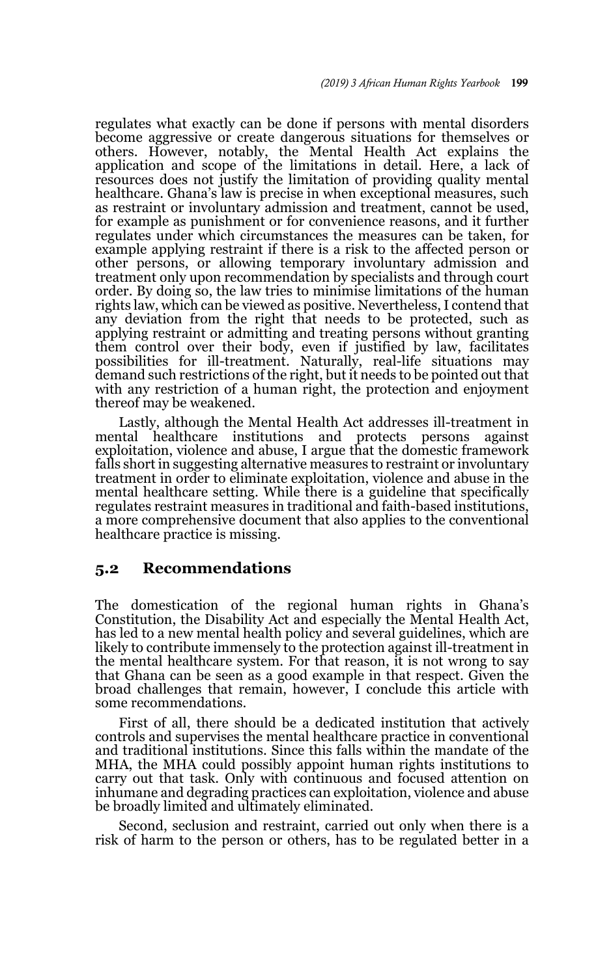regulates what exactly can be done if persons with mental disorders become aggressive or create dangerous situations for themselves or others. However, notably, the Mental Health Act explains the application and scope of the limitations in detail. Here, a lack of resources does not justify the limitation of providing quality mental healthcare. Ghana's law is precise in when exceptional measures, such as restraint or involuntary admission and treatment, cannot be used, for example as punishment or for convenience reasons, and it further regulates under which circumstances the measures can be taken, for example applying restraint if there is a risk to the affected person or other persons, or allowing temporary involuntary admission and treatment only upon recommendation by specialists and through court order. By doing so, the law tries to minimise limitations of the human rights law, which can be viewed as positive. Nevertheless, I contend that any deviation from the right that needs to be protected, such as applying restraint or admitting and treating persons without granting them control over their body, even if justified by law, facilitates possibilities for ill-treatment. Naturally, real-life situations may demand such restrictions of the right, but it needs to be pointed out that with any restriction of a human right, the protection and enjoyment thereof may be weakened.

Lastly, although the Mental Health Act addresses ill-treatment in mental healthcare institutions and protects persons against exploitation, violence and abuse, I argue that the domestic framework falls short in suggesting alternative measures to restraint or involuntary treatment in order to eliminate exploitation, violence and abuse in the mental healthcare setting. While there is a guideline that specifically regulates restraint measures in traditional and faith-based institutions, a more comprehensive document that also applies to the conventional healthcare practice is missing.

#### **5.2 Recommendations**

The domestication of the regional human rights in Ghana's Constitution, the Disability Act and especially the Mental Health Act, has led to a new mental health policy and several guidelines, which are likely to contribute immensely to the protection against ill-treatment in the mental healthcare system. For that reason, it is not wrong to say that Ghana can be seen as a good example in that respect. Given the broad challenges that remain, however, I conclude this article with some recommendations.

First of all, there should be a dedicated institution that actively controls and supervises the mental healthcare practice in conventional and traditional institutions. Since this falls within the mandate of the MHA, the MHA could possibly appoint human rights institutions to carry out that task. Only with continuous and focused attention on inhumane and degrading practices can exploitation, violence and abuse be broadly limited and ultimately eliminated.

Second, seclusion and restraint, carried out only when there is a risk of harm to the person or others, has to be regulated better in a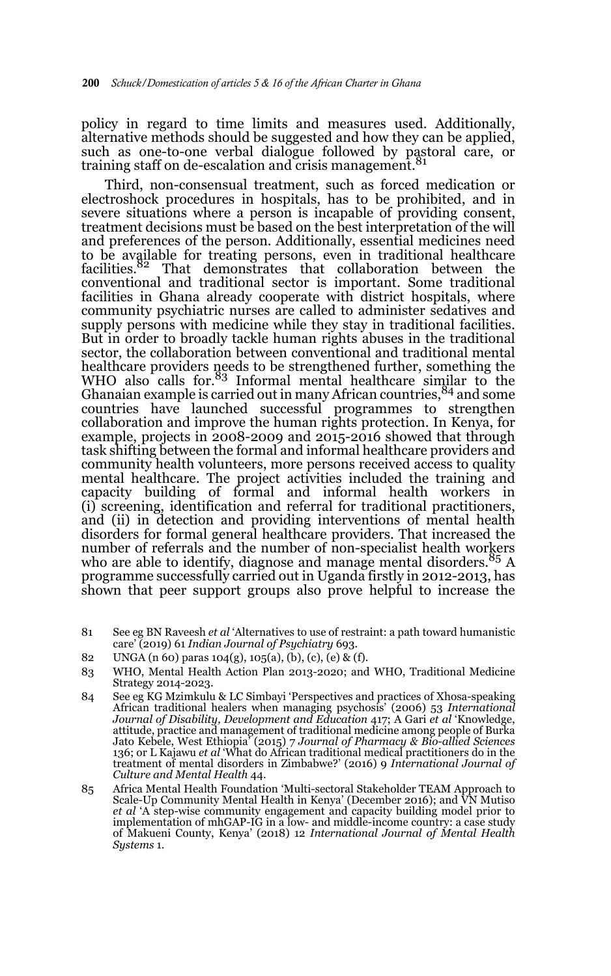policy in regard to time limits and measures used. Additionally, alternative methods should be suggested and how they can be applied, such as one-to-one verbal dialogue followed by pastoral care, or training staff on de-escalation and crisis management.<sup>81</sup>

Third, non-consensual treatment, such as forced medication or electroshock procedures in hospitals, has to be prohibited, and in severe situations where a person is incapable of providing consent, treatment decisions must be based on the best interpretation of the will and preferences of the person. Additionally, essential medicines need to be available for treating persons, even in traditional healthcare facilities.82 That demonstrates that collaboration between the conventional and traditional sector is important. Some traditional facilities in Ghana already cooperate with district hospitals, where community psychiatric nurses are called to administer sedatives and supply persons with medicine while they stay in traditional facilities. But in order to broadly tackle human rights abuses in the traditional sector, the collaboration between conventional and traditional mental healthcare providers needs to be strengthened further, something the WHO also calls for.<sup>83</sup> Informal mental healthcare similar to the Ghanaian example is carried out in many African countries, <sup>84</sup> and some countries have launched successful programmes to strengthen collaboration and improve the human rights protection. In Kenya, for example, projects in 2008-2009 and 2015-2016 showed that through task shifting between the formal and informal healthcare providers and community health volunteers, more persons received access to quality mental healthcare. The project activities included the training and capacity building of formal and informal health workers in (i) screening, identification and referral for traditional practitioners, and (ii) in detection and providing interventions of mental health disorders for formal general healthcare providers. That increased the number of referrals and the number of non-specialist health workers who are able to identify, diagnose and manage mental disorders.<sup>85</sup> A programme successfully carried out in Uganda firstly in 2012-2013, has shown that peer support groups also prove helpful to increase the

- 81 See eg BN Raveesh *et al* 'Alternatives to use of restraint: a path toward humanistic care' (2019) 61 *Indian Journal of Psychiatry* 693.
- 82 UNGA (n 60) paras 104(g), 105(a), (b), (c), (e) & (f).
- 83 WHO, Mental Health Action Plan 2013-2020; and WHO, Traditional Medicine Strategy 2014-2023.
- 84 See eg KG Mzimkulu & LC Simbayi 'Perspectives and practices of Xhosa-speaking African traditional healers when managing psychosis' (2006) 53 *International Journal of Disability, Development and Education* 417; A Gari *et al* 'Knowledge, attitude, practice and management of traditional medicine among people of Burka Jato Kebele, West Ethiopia' (2015) 7 *Journal of Pharmacy & Bio-allied Sciences* 136; or L Kajawu *et al* 'What do African traditional medical practitioners do in the treatment of mental disorders in Zimbabwe?' (2016) 9 *International Journal of Culture and Mental Health* 44.
- 85 Africa Mental Health Foundation 'Multi-sectoral Stakeholder TEAM Approach to Scale-Up Community Mental Health in Kenya' (December 2016); and VN Mutiso *et al* 'A step-wise community engagement and capacity building model prior to implementation of mhGAP-IG in a low- and middle-income country: a case study of Makueni County, Kenya' (2018) 12 *International Journal of Mental Health Systems* 1.